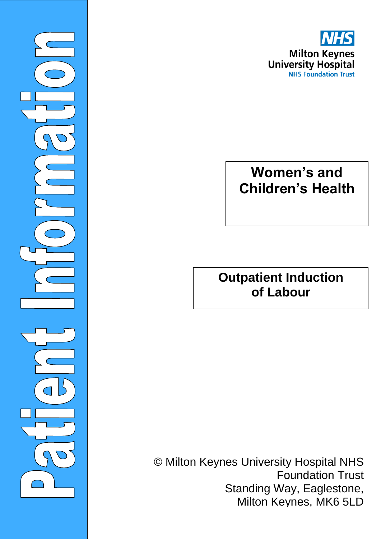

©Milto

 $\overline{\phantom{0}}$ 

# **Women's and Children's Health**

### **Outpatient Induction of Labour**

© Milton Keynes University Hospital NHS Foundation Trust Standing Way, Eaglestone, Milton Keynes, MK6 5LD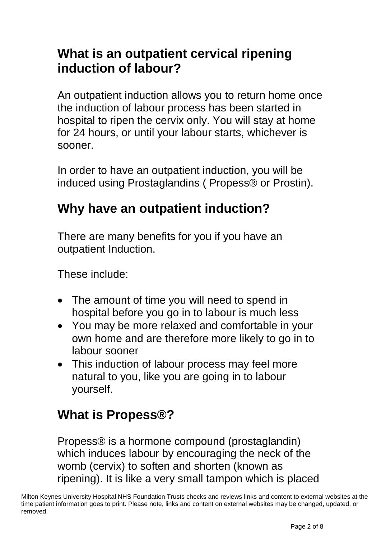### **What is an outpatient cervical ripening induction of labour?**

An outpatient induction allows you to return home once the induction of labour process has been started in hospital to ripen the cervix only. You will stay at home for 24 hours, or until your labour starts, whichever is sooner.

In order to have an outpatient induction, you will be induced using Prostaglandins ( Propess® or Prostin).

### **Why have an outpatient induction?**

There are many benefits for you if you have an outpatient Induction.

These include:

- The amount of time you will need to spend in hospital before you go in to labour is much less
- You may be more relaxed and comfortable in your own home and are therefore more likely to go in to labour sooner
- This induction of labour process may feel more natural to you, like you are going in to labour yourself.

### **What is Propess®?**

Propess® is a hormone compound (prostaglandin) which induces labour by encouraging the neck of the womb (cervix) to soften and shorten (known as ripening). It is like a very small tampon which is placed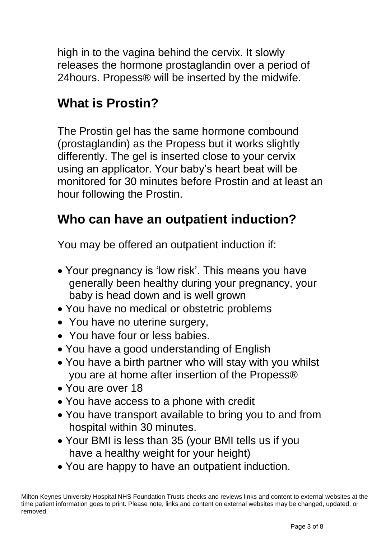high in to the vagina behind the cervix. It slowly releases the hormone prostaglandin over a period of 24hours. Propess® will be inserted by the midwife.

### **What is Prostin?**

The Prostin gel has the same hormone combound (prostaglandin) as the Propess but it works slightly differently. The gel is inserted close to your cervix using an applicator. Your baby's heart beat will be monitored for 30 minutes before Prostin and at least an hour following the Prostin.

### **Who can have an outpatient induction?**

You may be offered an outpatient induction if:

- Your pregnancy is 'low risk'. This means you have generally been healthy during your pregnancy, your baby is head down and is well grown
- You have no medical or obstetric problems
- You have no uterine surgery,
- You have four or less babies.
- You have a good understanding of English
- You have a birth partner who will stay with you whilst you are at home after insertion of the Propess®
- You are over 18
- You have access to a phone with credit
- You have transport available to bring you to and from hospital within 30 minutes.
- Your BMI is less than 35 (your BMI tells us if you have a healthy weight for your height)
- You are happy to have an outpatient induction.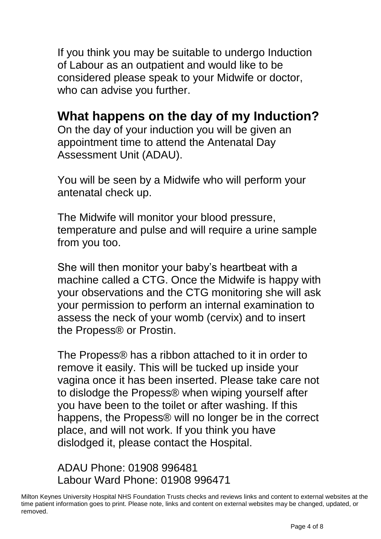If you think you may be suitable to undergo Induction of Labour as an outpatient and would like to be considered please speak to your Midwife or doctor, who can advise you further.

### **What happens on the day of my Induction?**

On the day of your induction you will be given an appointment time to attend the Antenatal Day Assessment Unit (ADAU).

You will be seen by a Midwife who will perform your antenatal check up.

The Midwife will monitor your blood pressure, temperature and pulse and will require a urine sample from you too.

She will then monitor your baby's heartbeat with a machine called a CTG. Once the Midwife is happy with your observations and the CTG monitoring she will ask your permission to perform an internal examination to assess the neck of your womb (cervix) and to insert the Propess® or Prostin.

The Propess® has a ribbon attached to it in order to remove it easily. This will be tucked up inside your vagina once it has been inserted. Please take care not to dislodge the Propess® when wiping yourself after you have been to the toilet or after washing. If this happens, the Propess® will no longer be in the correct place, and will not work. If you think you have dislodged it, please contact the Hospital.

#### ADAU Phone: 01908 996481 Labour Ward Phone: 01908 996471

Milton Keynes University Hospital NHS Foundation Trusts checks and reviews links and content to external websites at the time patient information goes to print. Please note, links and content on external websites may be changed, updated, or removed.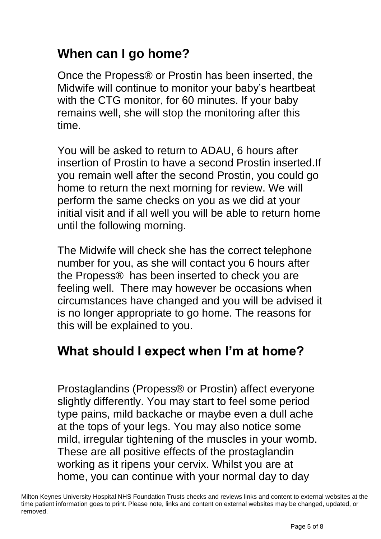## **When can I go home?**

Once the Propess® or Prostin has been inserted, the Midwife will continue to monitor your baby's heartbeat with the CTG monitor, for 60 minutes. If your baby remains well, she will stop the monitoring after this time.

You will be asked to return to ADAU, 6 hours after insertion of Prostin to have a second Prostin inserted.If you remain well after the second Prostin, you could go home to return the next morning for review. We will perform the same checks on you as we did at your initial visit and if all well you will be able to return home until the following morning.

The Midwife will check she has the correct telephone number for you, as she will contact you 6 hours after the Propess® has been inserted to check you are feeling well. There may however be occasions when circumstances have changed and you will be advised it is no longer appropriate to go home. The reasons for this will be explained to you.

### **What should I expect when I'm at home?**

Prostaglandins (Propess® or Prostin) affect everyone slightly differently. You may start to feel some period type pains, mild backache or maybe even a dull ache at the tops of your legs. You may also notice some mild, irregular tightening of the muscles in your womb. These are all positive effects of the prostaglandin working as it ripens your cervix. Whilst you are at home, you can continue with your normal day to day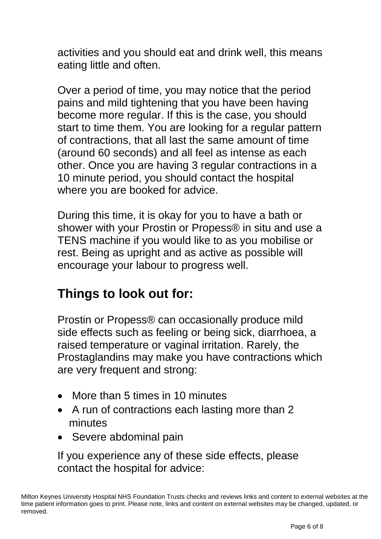activities and you should eat and drink well, this means eating little and often.

Over a period of time, you may notice that the period pains and mild tightening that you have been having become more regular. If this is the case, you should start to time them. You are looking for a regular pattern of contractions, that all last the same amount of time (around 60 seconds) and all feel as intense as each other. Once you are having 3 regular contractions in a 10 minute period, you should contact the hospital where you are booked for advice.

During this time, it is okay for you to have a bath or shower with your Prostin or Propess® in situ and use a TENS machine if you would like to as you mobilise or rest. Being as upright and as active as possible will encourage your labour to progress well.

### **Things to look out for:**

Prostin or Propess® can occasionally produce mild side effects such as feeling or being sick, diarrhoea, a raised temperature or vaginal irritation. Rarely, the Prostaglandins may make you have contractions which are very frequent and strong:

- More than 5 times in 10 minutes
- A run of contractions each lasting more than 2 minutes
- Severe abdominal pain

If you experience any of these side effects, please contact the hospital for advice: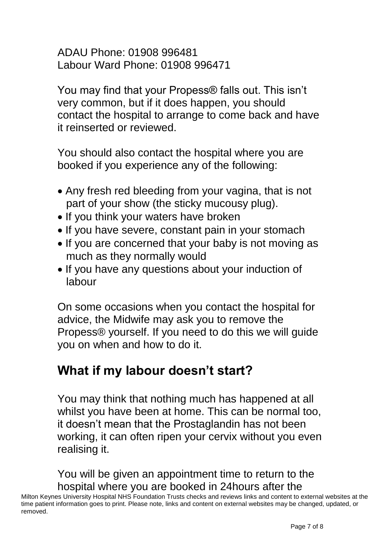ADAU Phone: 01908 996481 Labour Ward Phone: 01908 996471

You may find that your Propess® falls out. This isn't very common, but if it does happen, you should contact the hospital to arrange to come back and have it reinserted or reviewed.

You should also contact the hospital where you are booked if you experience any of the following:

- Any fresh red bleeding from your vagina, that is not part of your show (the sticky mucousy plug).
- If you think your waters have broken
- If you have severe, constant pain in your stomach
- If you are concerned that your baby is not moving as much as they normally would
- If you have any questions about your induction of labour

On some occasions when you contact the hospital for advice, the Midwife may ask you to remove the Propess® yourself. If you need to do this we will guide you on when and how to do it.

### **What if my labour doesn't start?**

You may think that nothing much has happened at all whilst you have been at home. This can be normal too, it doesn't mean that the Prostaglandin has not been working, it can often ripen your cervix without you even realising it.

You will be given an appointment time to return to the hospital where you are booked in 24hours after the